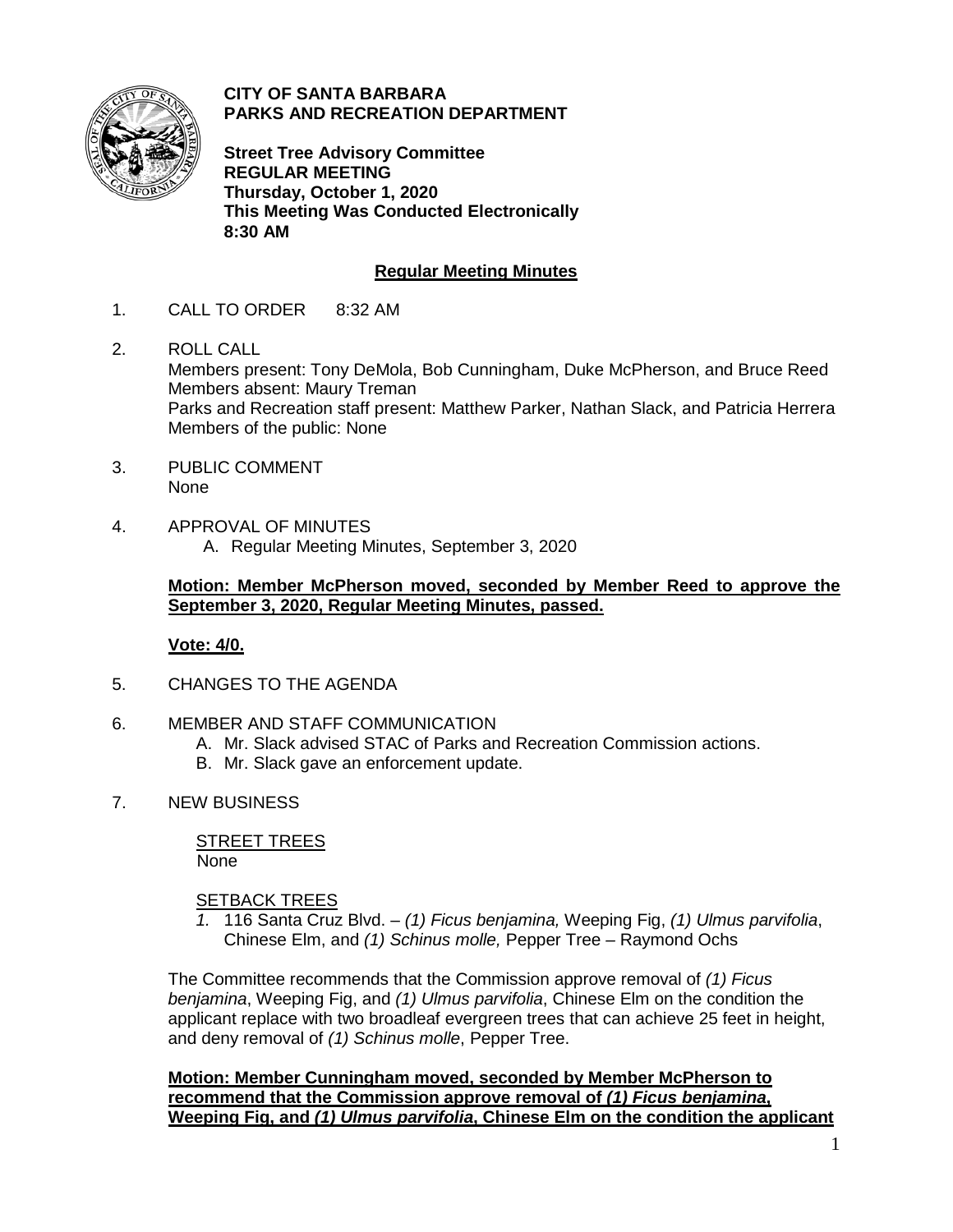

**CITY OF SANTA BARBARA PARKS AND RECREATION DEPARTMENT**

**Street Tree Advisory Committee REGULAR MEETING Thursday, October 1, 2020 This Meeting Was Conducted Electronically 8:30 AM**

# **Regular Meeting Minutes**

- 1. CALL TO ORDER 8:32 AM
- 2. ROLL CALL Members present: Tony DeMola, Bob Cunningham, Duke McPherson, and Bruce Reed Members absent: Maury Treman Parks and Recreation staff present: Matthew Parker, Nathan Slack, and Patricia Herrera Members of the public: None
- 3. PUBLIC COMMENT None
- 4. APPROVAL OF MINUTES A. Regular Meeting Minutes, September 3, 2020

#### **Motion: Member McPherson moved, seconded by Member Reed to approve the September 3, 2020, Regular Meeting Minutes, passed.**

## **Vote: 4/0.**

- 5. CHANGES TO THE AGENDA
- 6. MEMBER AND STAFF COMMUNICATION
	- A. Mr. Slack advised STAC of Parks and Recreation Commission actions.
	- B. Mr. Slack gave an enforcement update.
- 7. NEW BUSINESS

STREET TREES None

## SETBACK TREES

*1.* 116 Santa Cruz Blvd. – *(1) Ficus benjamina,* Weeping Fig, *(1) Ulmus parvifolia*, Chinese Elm, and *(1) Schinus molle,* Pepper Tree *–* Raymond Ochs

The Committee recommends that the Commission approve removal of *(1) Ficus benjamina*, Weeping Fig, and *(1) Ulmus parvifolia*, Chinese Elm on the condition the applicant replace with two broadleaf evergreen trees that can achieve 25 feet in height, and deny removal of *(1) Schinus molle*, Pepper Tree.

**Motion: Member Cunningham moved, seconded by Member McPherson to recommend that the Commission approve removal of** *(1) Ficus benjamina***, Weeping Fig, and** *(1) Ulmus parvifolia***, Chinese Elm on the condition the applicant**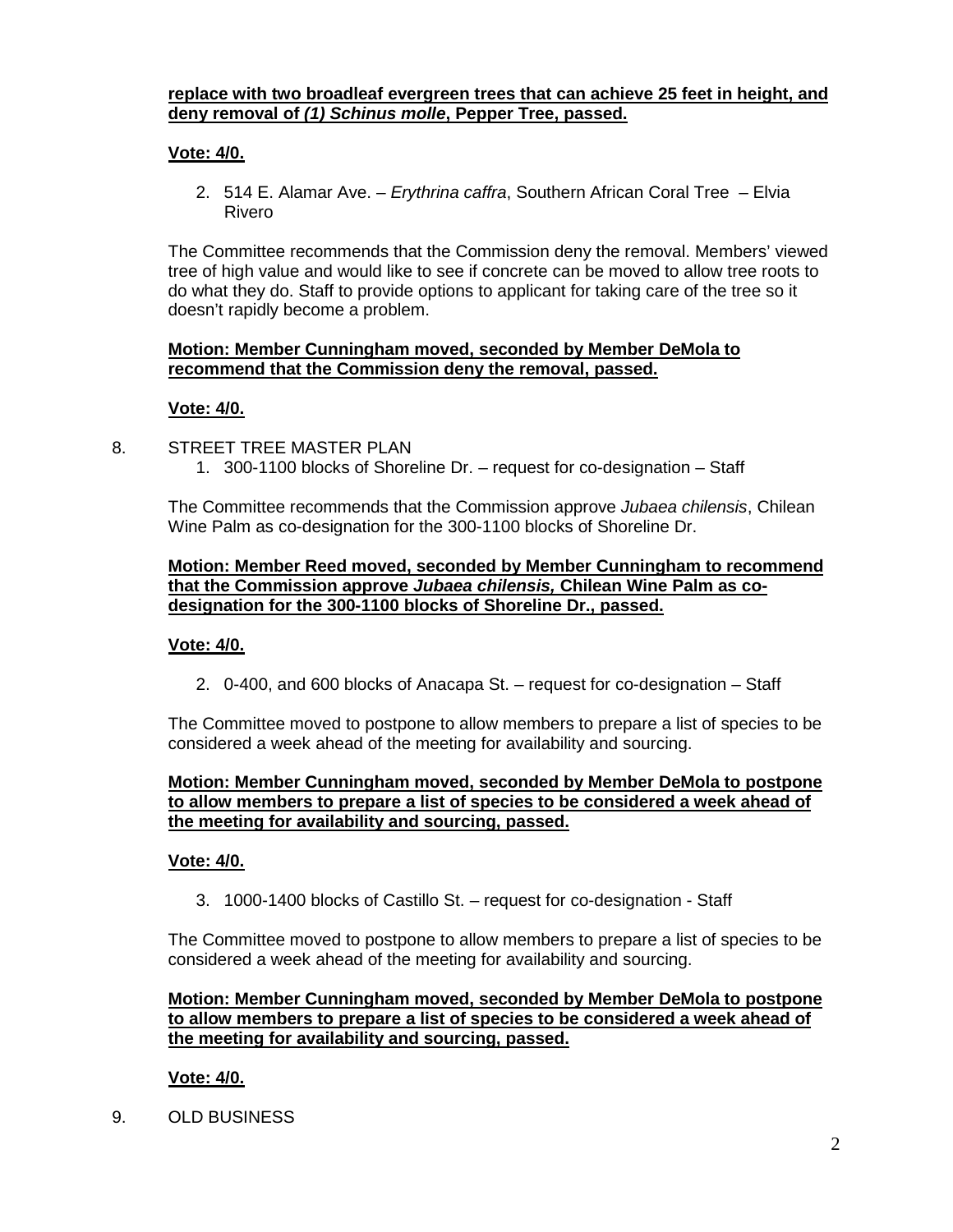## **replace with two broadleaf evergreen trees that can achieve 25 feet in height, and deny removal of** *(1) Schinus molle***, Pepper Tree, passed.**

# **Vote: 4/0.**

2. 514 E. Alamar Ave. – *Erythrina caffra*, Southern African Coral Tree – Elvia Rivero

The Committee recommends that the Commission deny the removal. Members' viewed tree of high value and would like to see if concrete can be moved to allow tree roots to do what they do. Staff to provide options to applicant for taking care of the tree so it doesn't rapidly become a problem.

#### **Motion: Member Cunningham moved, seconded by Member DeMola to recommend that the Commission deny the removal, passed.**

## **Vote: 4/0.**

- 8. STREET TREE MASTER PLAN
	- 1. 300-1100 blocks of Shoreline Dr. request for co-designation Staff

The Committee recommends that the Commission approve *Jubaea chilensis*, Chilean Wine Palm as co-designation for the 300-1100 blocks of Shoreline Dr.

#### **Motion: Member Reed moved, seconded by Member Cunningham to recommend that the Commission approve** *Jubaea chilensis,* **Chilean Wine Palm as codesignation for the 300-1100 blocks of Shoreline Dr., passed.**

## **Vote: 4/0.**

2. 0-400, and 600 blocks of Anacapa St. – request for co-designation – Staff

The Committee moved to postpone to allow members to prepare a list of species to be considered a week ahead of the meeting for availability and sourcing.

#### **Motion: Member Cunningham moved, seconded by Member DeMola to postpone to allow members to prepare a list of species to be considered a week ahead of the meeting for availability and sourcing, passed.**

## **Vote: 4/0.**

3. 1000-1400 blocks of Castillo St. – request for co-designation - Staff

The Committee moved to postpone to allow members to prepare a list of species to be considered a week ahead of the meeting for availability and sourcing.

## **Motion: Member Cunningham moved, seconded by Member DeMola to postpone to allow members to prepare a list of species to be considered a week ahead of the meeting for availability and sourcing, passed.**

## **Vote: 4/0.**

9. OLD BUSINESS